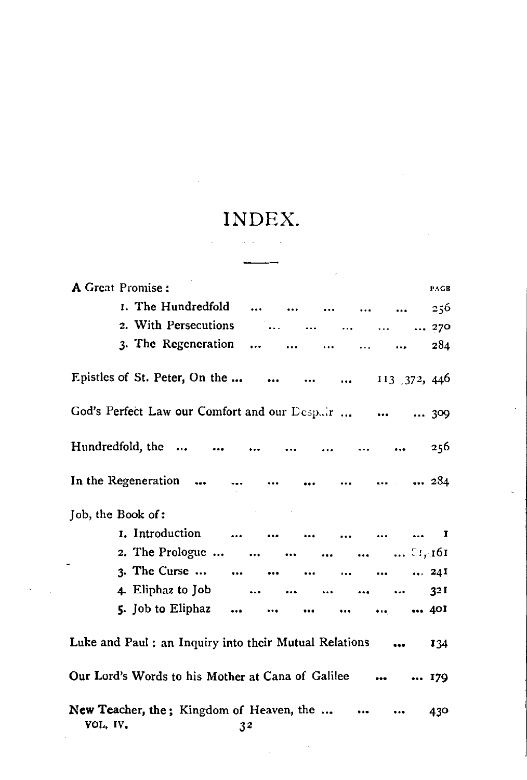## INDEX.

 $\ddot{\phantom{a}}$ 

| A Great Promise:                                                                                  |                                                                                                                                                                                                                                                                                                                                                                                                                       |  |  |                                                                                                                   |           |                              |           |  |  | PAGE                  |
|---------------------------------------------------------------------------------------------------|-----------------------------------------------------------------------------------------------------------------------------------------------------------------------------------------------------------------------------------------------------------------------------------------------------------------------------------------------------------------------------------------------------------------------|--|--|-------------------------------------------------------------------------------------------------------------------|-----------|------------------------------|-----------|--|--|-----------------------|
|                                                                                                   | I. The Hundredfold                                                                                                                                                                                                                                                                                                                                                                                                    |  |  |                                                                                                                   |           |                              |           |  |  | 256                   |
|                                                                                                   | 2. With Persecutions                                                                                                                                                                                                                                                                                                                                                                                                  |  |  |                                                                                                                   |           | $\sim$ 100 $\sim$ 100 $\sim$ |           |  |  | $\dots$ $\dots$ 270   |
|                                                                                                   | 3. The Regeneration                                                                                                                                                                                                                                                                                                                                                                                                   |  |  | $\sim$ $\sim$                                                                                                     | $\ddotsc$ |                              | $\ddotsc$ |  |  | 284                   |
|                                                                                                   | Epistles of St. Peter, On the     113 372, 446                                                                                                                                                                                                                                                                                                                                                                        |  |  |                                                                                                                   |           |                              |           |  |  |                       |
|                                                                                                   | God's Perfect Law our Comfort and our Despair    309                                                                                                                                                                                                                                                                                                                                                                  |  |  |                                                                                                                   |           |                              |           |  |  |                       |
|                                                                                                   | Hundredfold, the                                                                                                                                                                                                                                                                                                                                                                                                      |  |  |                                                                                                                   |           |                              |           |  |  | 256                   |
|                                                                                                   | In the Regeneration        284                                                                                                                                                                                                                                                                                                                                                                                        |  |  |                                                                                                                   |           |                              |           |  |  |                       |
| Job, the Book of:                                                                                 |                                                                                                                                                                                                                                                                                                                                                                                                                       |  |  |                                                                                                                   |           |                              |           |  |  |                       |
|                                                                                                   | 1. Introduction                                                                                                                                                                                                                                                                                                                                                                                                       |  |  |                                                                                                                   |           |                              |           |  |  | $\blacksquare$        |
|                                                                                                   | 2. The Prologue $\therefore$ $\therefore$ $\therefore$ $\therefore$ $\therefore$ $\therefore$ $\therefore$ $\therefore$ $\therefore$ $\therefore$ $\therefore$ $\therefore$ $\therefore$ $\therefore$ $\therefore$ $\therefore$ $\therefore$ $\therefore$ $\therefore$ $\therefore$ $\therefore$ $\therefore$ $\therefore$ $\therefore$ $\therefore$ $\therefore$ $\therefore$ $\therefore$ $\therefore$ $\therefore$ |  |  |                                                                                                                   |           |                              |           |  |  |                       |
|                                                                                                   | 3. The Curse         24I                                                                                                                                                                                                                                                                                                                                                                                              |  |  |                                                                                                                   |           |                              |           |  |  |                       |
|                                                                                                   | 4. Eliphaz to Job                                                                                                                                                                                                                                                                                                                                                                                                     |  |  |                                                                                                                   |           |                              |           |  |  | 32 I                  |
|                                                                                                   | 5. Job to Eliphaz                                                                                                                                                                                                                                                                                                                                                                                                     |  |  | and the second second second and second the second second second second second second second second second second |           |                              |           |  |  | $\cdots$ $\cdots$ 401 |
|                                                                                                   | Luke and Paul : an Inquiry into their Mutual Relations                                                                                                                                                                                                                                                                                                                                                                |  |  |                                                                                                                   |           |                              |           |  |  | 134                   |
|                                                                                                   | Our Lord's Words to his Mother at Cana of Galilee   179                                                                                                                                                                                                                                                                                                                                                               |  |  |                                                                                                                   |           |                              |           |  |  |                       |
| New Teacher, the; Kingdom of Heaven, the<br>$\bullet\bullet\bullet\qquad \qquad$<br>VOLUIVELLE 22 |                                                                                                                                                                                                                                                                                                                                                                                                                       |  |  |                                                                                                                   |           |                              | 430       |  |  |                       |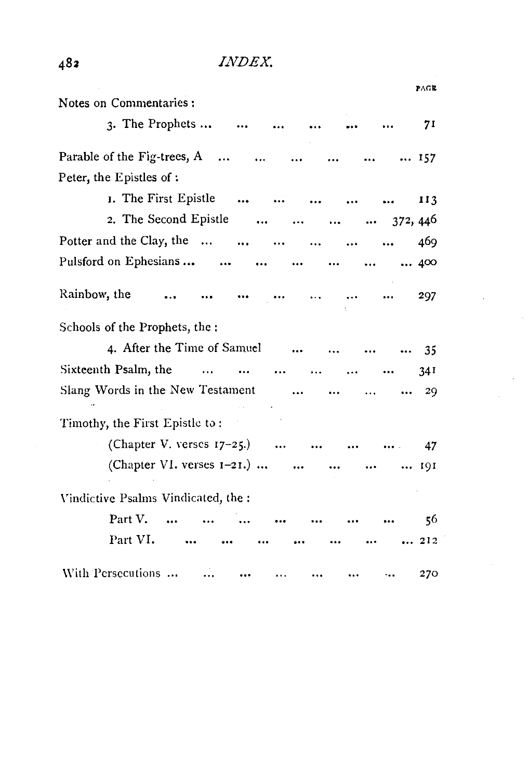|                                                                                |                                |          |           | PAGE              |
|--------------------------------------------------------------------------------|--------------------------------|----------|-----------|-------------------|
| Notes on Commentaries:                                                         |                                |          |           |                   |
| $\lambda$ . The Prophets                                                       |                                |          |           | 71                |
| Parable of the Fig-trees, $A$                                                  | $\ddotsc$                      | $\cdots$ |           | $\ldots$ 157      |
| Peter, the Epistles of:                                                        |                                |          |           |                   |
| I. The First Epistle                                                           |                                |          |           | 113               |
| 2. The Second Epistle<br>and the company of the company of the company         |                                |          |           | $\cdots$ 372, 446 |
| Potter and the Clay, the                                                       | $\sim$ $\sim$                  |          | $\ddotsc$ | 469               |
| Pulsford on Ephesians                                                          | $\sim$ $\sim$                  |          |           | 400               |
| Rainbow, the<br>$\cdots$                                                       | <b>Contract Contract State</b> |          |           | 297               |
| Schools of the Prophets, the :                                                 |                                |          |           |                   |
| 4. After the Time of Samuel                                                    |                                |          |           | - 35              |
| Sixteenth Psalm, the<br><b>Contract Contract Contract</b><br>$\cdots$ $\cdots$ |                                |          |           | 34 <sup>1</sup>   |
| Slang Words in the New Testament                                               | $\cdots$                       |          |           | 29                |
| Timothy, the First Epistle to:                                                 |                                |          |           |                   |
| (Chapter V. verses $17-25$ .)                                                  |                                |          |           | 47                |
| (Chapter VI. verses $1-21$ .)                                                  |                                |          |           | 191               |
| Vindictive Psalms Vindicated, the:                                             |                                |          |           |                   |
| Part V.                                                                        |                                |          |           | 56                |
| Part VI.                                                                       |                                |          |           | 212               |
| With Persecutions                                                              |                                |          |           | 270               |